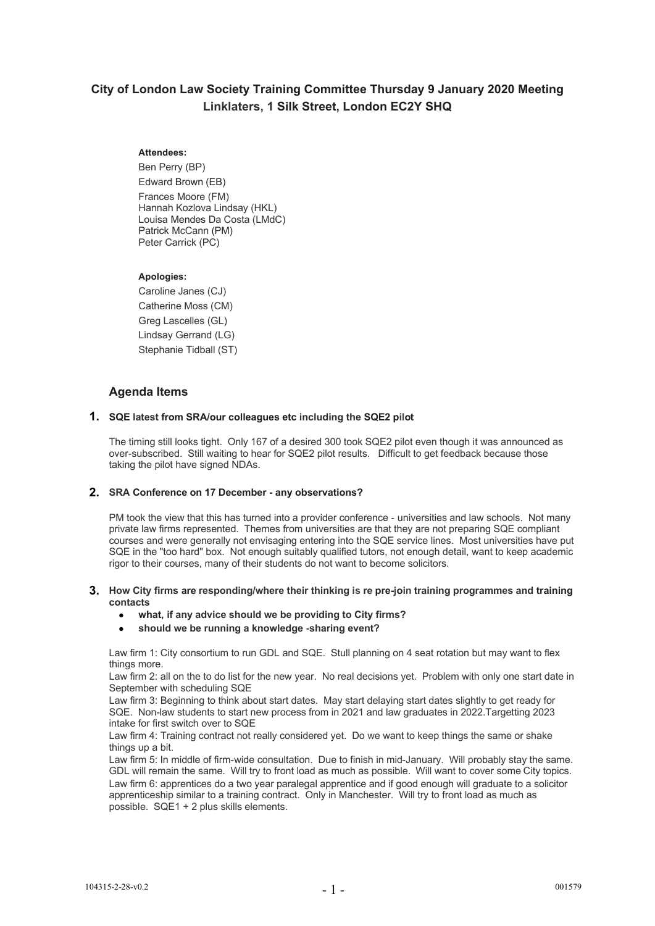# **City of London Law Society Training Committee Thursday 9 January 2020 Meeting Linklaters, 1 Silk Street, London EC2Y SHQ**

# **Attendees:**

Ben Perry (BP) Edward Brown (EB) Frances Moore (FM) Hannah Kozlova Lindsay (HKL) Louisa Mendes Da Costa (LMdC) Patrick McCann (PM) Peter Carrick (PC)

#### **Apologies:**

Caroline Janes (CJ) Catherine Moss (CM) Greg Lascelles (GL) Lindsay Gerrand (LG) Stephanie Tidball (ST)

# **Agenda Items**

# **1. SQE latest from SRA/our colleagues etc including the SQE2 pilot**

The timing still looks tight. Only 167 of a desired 300 took SQE2 pilot even though it was announced as over-subscribed. Still waiting to hear for SQE2 pilot results. Difficult to get feedback because those taking the pilot have signed NDAs.

# **2. SRA Conference on 17 December - any observations?**

PM took the view that this has turned into a provider conference - universities and law schools. Not many private law firms represented. Themes from universities are that they are not preparing SQE compliant courses and were generally not envisaging entering into the SQE service lines. Most universities have put SQE in the "too hard" box. Not enough suitably qualified tutors, not enough detail, want to keep academic rigor to their courses, many of their students do not want to become solicitors.

#### **3. How City firms are responding/where their thinking is re pre-join training programmes and training contacts**

- **what, if any advice should we be providing to City firms?**
- **should we be running a knowledge -sharing event?**

Law firm 1: City consortium to run GDL and SQE. Stull planning on 4 seat rotation but may want to flex things more.

Law firm 2: all on the to do list for the new year. No real decisions yet. Problem with only one start date in September with scheduling SQE

Law firm 3: Beginning to think about start dates. May start delaying start dates slightly to get ready for SQE. Non-law students to start new process from in 2021 and law graduates in 2022.Targetting 2023 intake for first switch over to SQE

Law firm 4: Training contract not really considered yet. Do we want to keep things the same or shake things up a bit.

Law firm 5: In middle of firm-wide consultation. Due to finish in mid-January. Will probably stay the same. GDL will remain the same. Will try to front load as much as possible. Will want to cover some City topics. Law firm 6: apprentices do a two year paralegal apprentice and if good enough will graduate to a solicitor apprenticeship similar to a training contract. Only in Manchester. Will try to front load as much as possible. SQE1 + 2 plus skills elements.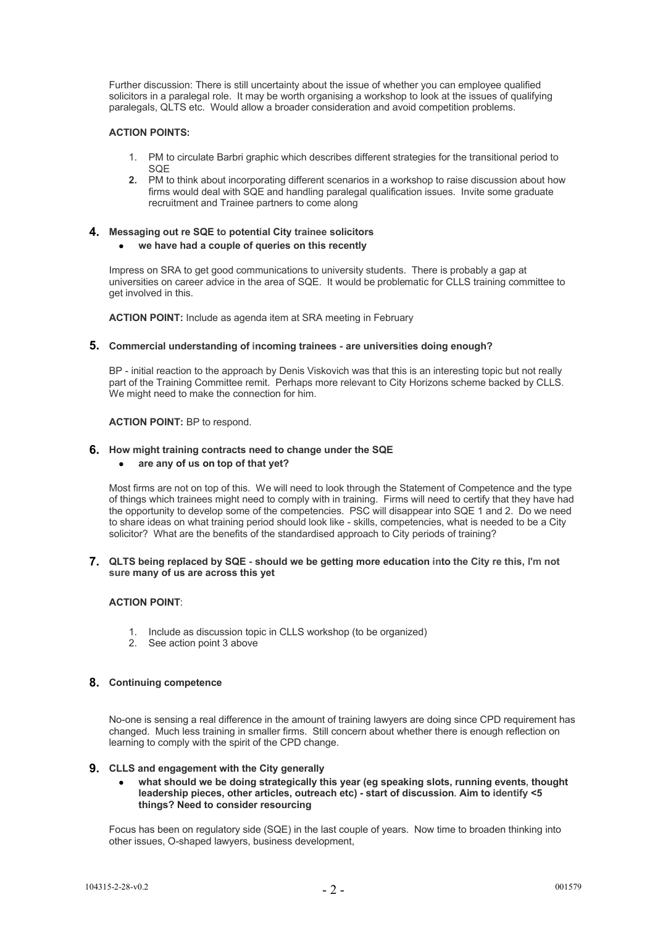Further discussion: There is still uncertainty about the issue of whether you can employee qualified solicitors in a paralegal role. It may be worth organising a workshop to look at the issues of qualifying paralegals, QLTS etc. Would allow a broader consideration and avoid competition problems.

# **ACTION POINTS:**

- 1. PM to circulate Barbri graphic which describes different strategies for the transitional period to **SOF**
- **2.** PM to think about incorporating different scenarios in a workshop to raise discussion about how firms would deal with SQE and handling paralegal qualification issues. Invite some graduate recruitment and Trainee partners to come along

# **4. Messaging out re SQE to potential City trainee solicitors**

# **we have had a couple of queries on this recently**

Impress on SRA to get good communications to university students. There is probably a gap at universities on career advice in the area of SQE. It would be problematic for CLLS training committee to get involved in this.

**ACTION POINT:** Include as agenda item at SRA meeting in February

# **5. Commercial understanding of incoming trainees - are universities doing enough?**

BP - initial reaction to the approach by Denis Viskovich was that this is an interesting topic but not really part of the Training Committee remit. Perhaps more relevant to City Horizons scheme backed by CLLS. We might need to make the connection for him.

#### **ACTION POINT:** BP to respond.

#### **6. How might training contracts need to change under the SQE**

# **are any of us on top of that yet?**

Most firms are not on top of this. We will need to look through the Statement of Competence and the type of things which trainees might need to comply with in training. Firms will need to certify that they have had the opportunity to develop some of the competencies. PSC will disappear into SQE 1 and 2. Do we need to share ideas on what training period should look like - skills, competencies, what is needed to be a City solicitor? What are the benefits of the standardised approach to City periods of training?

#### **7. QLTS being replaced by SQE - should we be getting more education into the City re this, I'm not sure many of us are across this yet**

# **ACTION POINT**:

- 1. Include as discussion topic in CLLS workshop (to be organized)
- 2. See action point 3 above

# **8. Continuing competence**

No-one is sensing a real difference in the amount of training lawyers are doing since CPD requirement has changed. Much less training in smaller firms. Still concern about whether there is enough reflection on learning to comply with the spirit of the CPD change.

#### **9. CLLS and engagement with the City generally**

 **what should we be doing strategically this year (eg speaking slots, running events, thought leadership pieces, other articles, outreach etc) - start of discussion. Aim to identify <5 things? Need to consider resourcing**

Focus has been on regulatory side (SQE) in the last couple of years. Now time to broaden thinking into other issues, O-shaped lawyers, business development,